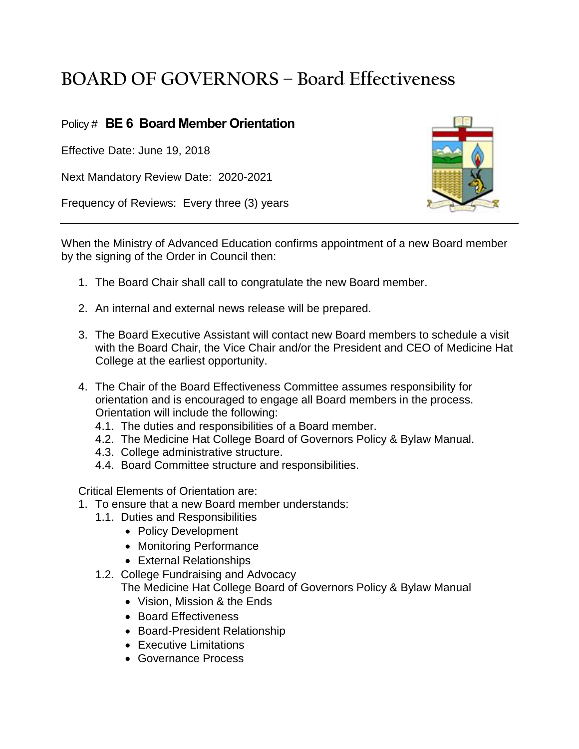## **BOARD OF GOVERNORS – Board Effectiveness**

## Policy # **BE 6 Board Member Orientation**

Effective Date: June 19, 2018

Next Mandatory Review Date: 2020-2021

Frequency of Reviews: Every three (3) years



When the Ministry of Advanced Education confirms appointment of a new Board member by the signing of the Order in Council then:

- 1. The Board Chair shall call to congratulate the new Board member.
- 2. An internal and external news release will be prepared.
- 3. The Board Executive Assistant will contact new Board members to schedule a visit with the Board Chair, the Vice Chair and/or the President and CEO of Medicine Hat College at the earliest opportunity.
- 4. The Chair of the Board Effectiveness Committee assumes responsibility for orientation and is encouraged to engage all Board members in the process. Orientation will include the following:
	- 4.1. The duties and responsibilities of a Board member.
	- 4.2. The Medicine Hat College Board of Governors Policy & Bylaw Manual.
	- 4.3. College administrative structure.
	- 4.4. Board Committee structure and responsibilities.

Critical Elements of Orientation are:

- 1. To ensure that a new Board member understands:
	- 1.1. Duties and Responsibilities
		- Policy Development
		- Monitoring Performance
		- External Relationships
	- 1.2. College Fundraising and Advocacy The Medicine Hat College Board of Governors Policy & Bylaw Manual
		- Vision, Mission & the Ends
		- Board Effectiveness
		- Board-President Relationship
		- Executive Limitations
		- Governance Process